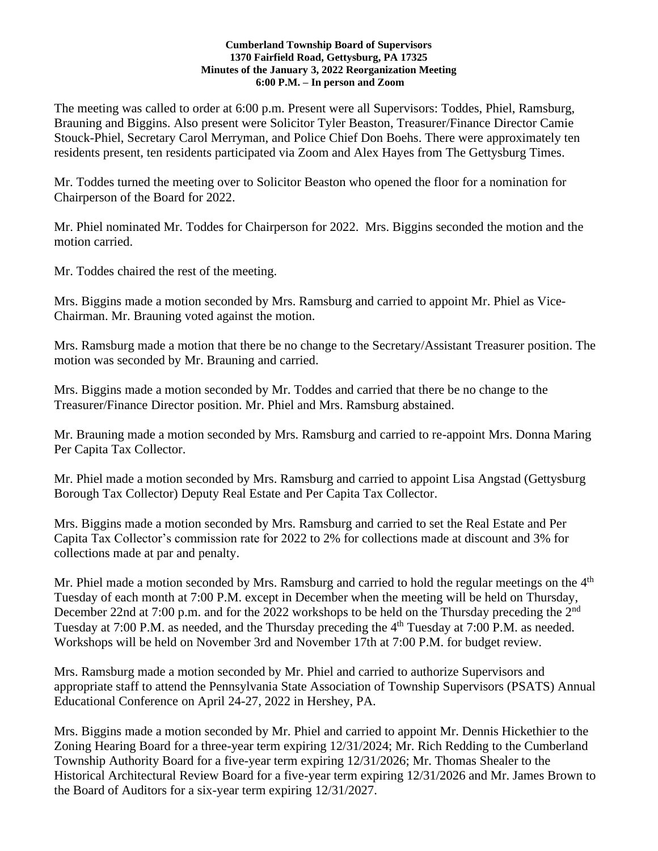#### **Cumberland Township Board of Supervisors 1370 Fairfield Road, Gettysburg, PA 17325 Minutes of the January 3, 2022 Reorganization Meeting 6:00 P.M. – In person and Zoom**

The meeting was called to order at 6:00 p.m. Present were all Supervisors: Toddes, Phiel, Ramsburg, Brauning and Biggins. Also present were Solicitor Tyler Beaston, Treasurer/Finance Director Camie Stouck-Phiel, Secretary Carol Merryman, and Police Chief Don Boehs. There were approximately ten residents present, ten residents participated via Zoom and Alex Hayes from The Gettysburg Times.

Mr. Toddes turned the meeting over to Solicitor Beaston who opened the floor for a nomination for Chairperson of the Board for 2022.

Mr. Phiel nominated Mr. Toddes for Chairperson for 2022. Mrs. Biggins seconded the motion and the motion carried.

Mr. Toddes chaired the rest of the meeting.

Mrs. Biggins made a motion seconded by Mrs. Ramsburg and carried to appoint Mr. Phiel as Vice-Chairman. Mr. Brauning voted against the motion.

Mrs. Ramsburg made a motion that there be no change to the Secretary/Assistant Treasurer position. The motion was seconded by Mr. Brauning and carried.

Mrs. Biggins made a motion seconded by Mr. Toddes and carried that there be no change to the Treasurer/Finance Director position. Mr. Phiel and Mrs. Ramsburg abstained.

Mr. Brauning made a motion seconded by Mrs. Ramsburg and carried to re-appoint Mrs. Donna Maring Per Capita Tax Collector.

Mr. Phiel made a motion seconded by Mrs. Ramsburg and carried to appoint Lisa Angstad (Gettysburg Borough Tax Collector) Deputy Real Estate and Per Capita Tax Collector.

Mrs. Biggins made a motion seconded by Mrs. Ramsburg and carried to set the Real Estate and Per Capita Tax Collector's commission rate for 2022 to 2% for collections made at discount and 3% for collections made at par and penalty.

Mr. Phiel made a motion seconded by Mrs. Ramsburg and carried to hold the regular meetings on the  $4<sup>th</sup>$ Tuesday of each month at 7:00 P.M. except in December when the meeting will be held on Thursday, December 22nd at 7:00 p.m. and for the 2022 workshops to be held on the Thursday preceding the 2<sup>nd</sup> Tuesday at 7:00 P.M. as needed, and the Thursday preceding the 4<sup>th</sup> Tuesday at 7:00 P.M. as needed. Workshops will be held on November 3rd and November 17th at 7:00 P.M. for budget review.

Mrs. Ramsburg made a motion seconded by Mr. Phiel and carried to authorize Supervisors and appropriate staff to attend the Pennsylvania State Association of Township Supervisors (PSATS) Annual Educational Conference on April 24-27, 2022 in Hershey, PA.

Mrs. Biggins made a motion seconded by Mr. Phiel and carried to appoint Mr. Dennis Hickethier to the Zoning Hearing Board for a three-year term expiring 12/31/2024; Mr. Rich Redding to the Cumberland Township Authority Board for a five-year term expiring 12/31/2026; Mr. Thomas Shealer to the Historical Architectural Review Board for a five-year term expiring 12/31/2026 and Mr. James Brown to the Board of Auditors for a six-year term expiring 12/31/2027.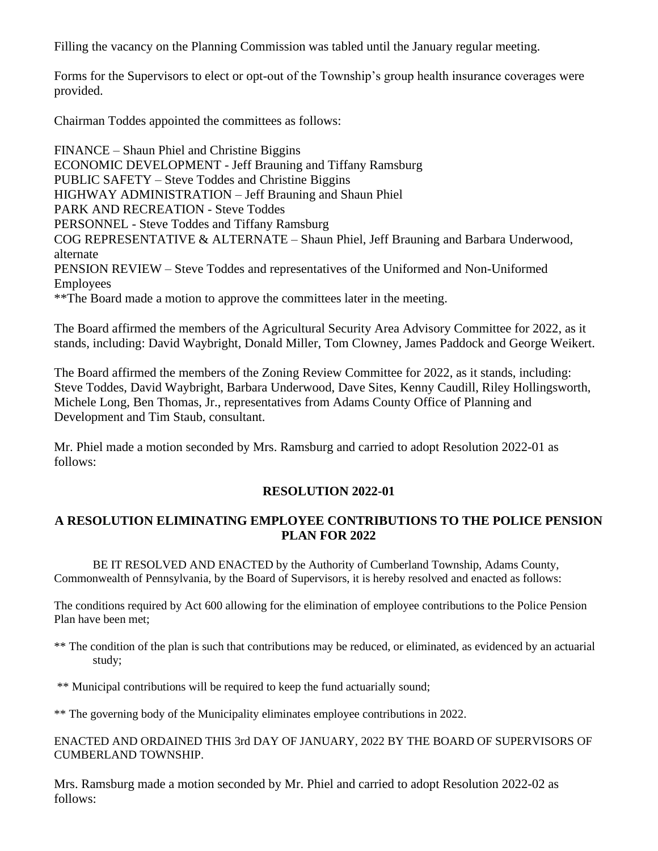Filling the vacancy on the Planning Commission was tabled until the January regular meeting.

Forms for the Supervisors to elect or opt-out of the Township's group health insurance coverages were provided.

Chairman Toddes appointed the committees as follows:

FINANCE – Shaun Phiel and Christine Biggins ECONOMIC DEVELOPMENT - Jeff Brauning and Tiffany Ramsburg PUBLIC SAFETY – Steve Toddes and Christine Biggins HIGHWAY ADMINISTRATION – Jeff Brauning and Shaun Phiel PARK AND RECREATION - Steve Toddes PERSONNEL - Steve Toddes and Tiffany Ramsburg COG REPRESENTATIVE & ALTERNATE – Shaun Phiel, Jeff Brauning and Barbara Underwood, alternate PENSION REVIEW – Steve Toddes and representatives of the Uniformed and Non-Uniformed Employees \*\*The Board made a motion to approve the committees later in the meeting.

The Board affirmed the members of the Agricultural Security Area Advisory Committee for 2022, as it stands, including: David Waybright, Donald Miller, Tom Clowney, James Paddock and George Weikert.

The Board affirmed the members of the Zoning Review Committee for 2022, as it stands, including: Steve Toddes, David Waybright, Barbara Underwood, Dave Sites, Kenny Caudill, Riley Hollingsworth, Michele Long, Ben Thomas, Jr., representatives from Adams County Office of Planning and Development and Tim Staub, consultant.

Mr. Phiel made a motion seconded by Mrs. Ramsburg and carried to adopt Resolution 2022-01 as follows:

### **RESOLUTION 2022-01**

# **A RESOLUTION ELIMINATING EMPLOYEE CONTRIBUTIONS TO THE POLICE PENSION PLAN FOR 2022**

BE IT RESOLVED AND ENACTED by the Authority of Cumberland Township, Adams County, Commonwealth of Pennsylvania, by the Board of Supervisors, it is hereby resolved and enacted as follows:

The conditions required by Act 600 allowing for the elimination of employee contributions to the Police Pension Plan have been met;

- \*\* The condition of the plan is such that contributions may be reduced, or eliminated, as evidenced by an actuarial study;
- \*\* Municipal contributions will be required to keep the fund actuarially sound;

\*\* The governing body of the Municipality eliminates employee contributions in 2022.

ENACTED AND ORDAINED THIS 3rd DAY OF JANUARY, 2022 BY THE BOARD OF SUPERVISORS OF CUMBERLAND TOWNSHIP.

Mrs. Ramsburg made a motion seconded by Mr. Phiel and carried to adopt Resolution 2022-02 as follows: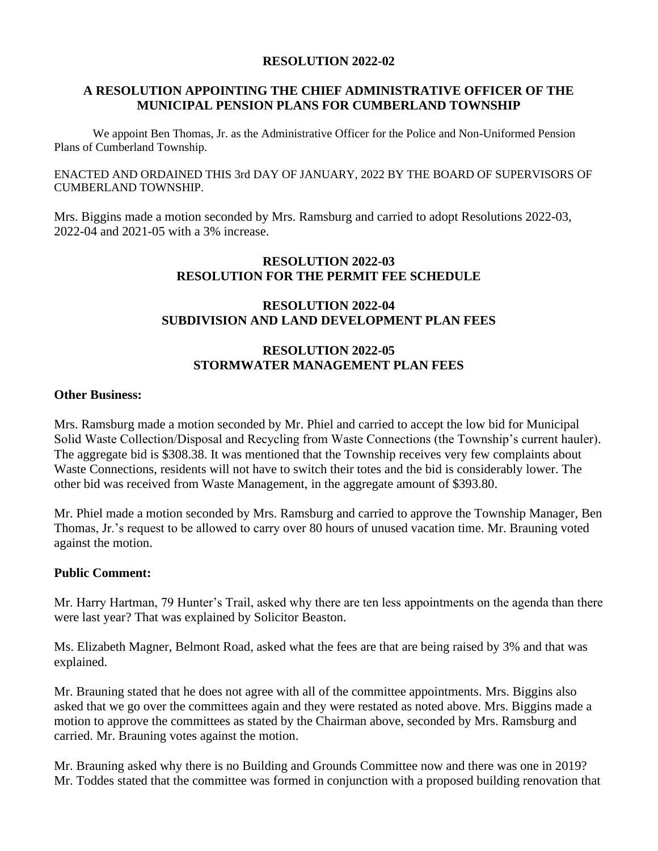#### **RESOLUTION 2022-02**

# **A RESOLUTION APPOINTING THE CHIEF ADMINISTRATIVE OFFICER OF THE MUNICIPAL PENSION PLANS FOR CUMBERLAND TOWNSHIP**

We appoint Ben Thomas, Jr. as the Administrative Officer for the Police and Non-Uniformed Pension Plans of Cumberland Township.

ENACTED AND ORDAINED THIS 3rd DAY OF JANUARY, 2022 BY THE BOARD OF SUPERVISORS OF CUMBERLAND TOWNSHIP.

Mrs. Biggins made a motion seconded by Mrs. Ramsburg and carried to adopt Resolutions 2022-03, 2022-04 and 2021-05 with a 3% increase.

### **RESOLUTION 2022-03 RESOLUTION FOR THE PERMIT FEE SCHEDULE**

## **RESOLUTION 2022-04 SUBDIVISION AND LAND DEVELOPMENT PLAN FEES**

## **RESOLUTION 2022-05 STORMWATER MANAGEMENT PLAN FEES**

#### **Other Business:**

Mrs. Ramsburg made a motion seconded by Mr. Phiel and carried to accept the low bid for Municipal Solid Waste Collection/Disposal and Recycling from Waste Connections (the Township's current hauler). The aggregate bid is \$308.38. It was mentioned that the Township receives very few complaints about Waste Connections, residents will not have to switch their totes and the bid is considerably lower. The other bid was received from Waste Management, in the aggregate amount of \$393.80.

Mr. Phiel made a motion seconded by Mrs. Ramsburg and carried to approve the Township Manager, Ben Thomas, Jr.'s request to be allowed to carry over 80 hours of unused vacation time. Mr. Brauning voted against the motion.

### **Public Comment:**

Mr. Harry Hartman, 79 Hunter's Trail, asked why there are ten less appointments on the agenda than there were last year? That was explained by Solicitor Beaston.

Ms. Elizabeth Magner, Belmont Road, asked what the fees are that are being raised by 3% and that was explained.

Mr. Brauning stated that he does not agree with all of the committee appointments. Mrs. Biggins also asked that we go over the committees again and they were restated as noted above. Mrs. Biggins made a motion to approve the committees as stated by the Chairman above, seconded by Mrs. Ramsburg and carried. Mr. Brauning votes against the motion.

Mr. Brauning asked why there is no Building and Grounds Committee now and there was one in 2019? Mr. Toddes stated that the committee was formed in conjunction with a proposed building renovation that